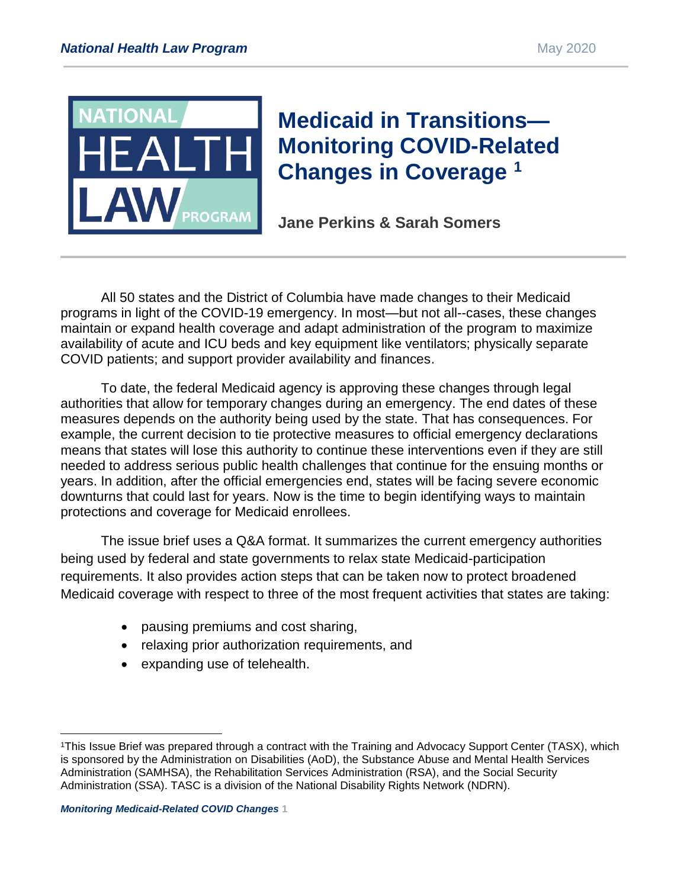

# **Medicaid in Transitions— Monitoring COVID-Related Changes in Coverage <sup>1</sup>**

**Jane Perkins & Sarah Somers**

All 50 states and the District of Columbia have made changes to their Medicaid programs in light of the COVID-19 emergency. In most—but not all--cases, these changes maintain or expand health coverage and adapt administration of the program to maximize availability of acute and ICU beds and key equipment like ventilators; physically separate COVID patients; and support provider availability and finances.

To date, the federal Medicaid agency is approving these changes through legal authorities that allow for temporary changes during an emergency. The end dates of these measures depends on the authority being used by the state. That has consequences. For example, the current decision to tie protective measures to official emergency declarations means that states will lose this authority to continue these interventions even if they are still needed to address serious public health challenges that continue for the ensuing months or years. In addition, after the official emergencies end, states will be facing severe economic downturns that could last for years. Now is the time to begin identifying ways to maintain protections and coverage for Medicaid enrollees.

The issue brief uses a Q&A format. It summarizes the current emergency authorities being used by federal and state governments to relax state Medicaid-participation requirements. It also provides action steps that can be taken now to protect broadened Medicaid coverage with respect to three of the most frequent activities that states are taking:

- pausing premiums and cost sharing,
- relaxing prior authorization requirements, and
- expanding use of telehealth.

<sup>1</sup>This Issue Brief was prepared through a contract with the Training and Advocacy Support Center (TASX), which is sponsored by the Administration on Disabilities (AoD), the Substance Abuse and Mental Health Services Administration (SAMHSA), the Rehabilitation Services Administration (RSA), and the Social Security Administration (SSA). TASC is a division of the National Disability Rights Network (NDRN).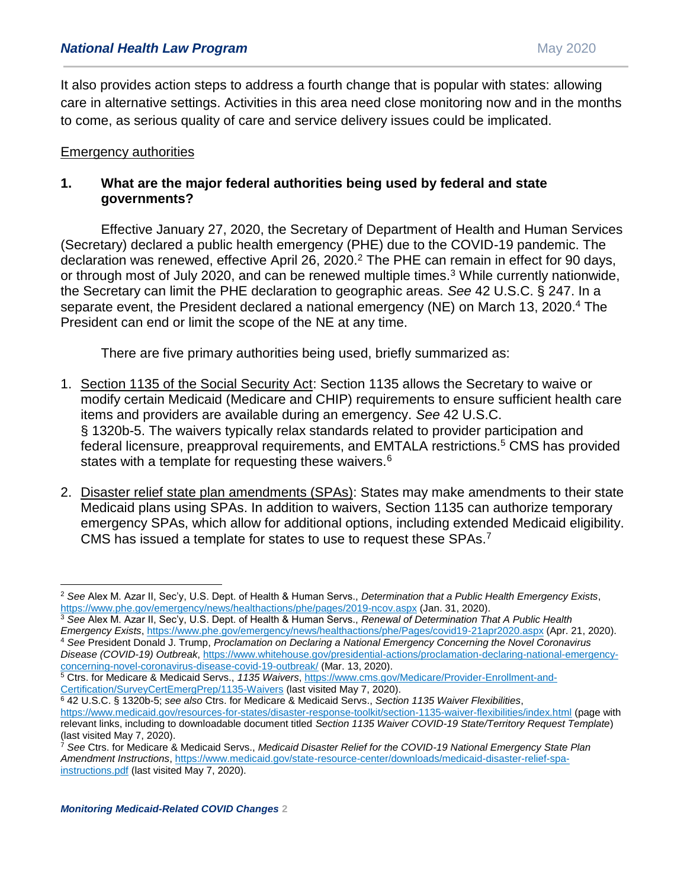It also provides action steps to address a fourth change that is popular with states: allowing care in alternative settings. Activities in this area need close monitoring now and in the months to come, as serious quality of care and service delivery issues could be implicated.

#### Emergency authorities

## **1. What are the major federal authorities being used by federal and state governments?**

Effective January 27, 2020, the Secretary of Department of Health and Human Services (Secretary) declared a public health emergency (PHE) due to the COVID-19 pandemic. The declaration was renewed, effective April 26, 2020.<sup>2</sup> The PHE can remain in effect for 90 days, or through most of July 2020, and can be renewed multiple times.<sup>3</sup> While currently nationwide, the Secretary can limit the PHE declaration to geographic areas. *See* 42 U.S.C. § 247. In a separate event, the President declared a national emergency (NE) on March 13, 2020.<sup>4</sup> The President can end or limit the scope of the NE at any time.

There are five primary authorities being used, briefly summarized as:

- 1. Section 1135 of the Social Security Act: Section 1135 allows the Secretary to waive or modify certain Medicaid (Medicare and CHIP) requirements to ensure sufficient health care items and providers are available during an emergency. *See* 42 U.S.C. § 1320b-5. The waivers typically relax standards related to provider participation and federal licensure, preapproval requirements, and EMTALA restrictions.<sup>5</sup> CMS has provided states with a template for requesting these waivers.<sup>6</sup>
- 2. Disaster relief state plan amendments (SPAs): States may make amendments to their state Medicaid plans using SPAs. In addition to waivers, Section 1135 can authorize temporary emergency SPAs, which allow for additional options, including extended Medicaid eligibility. CMS has issued a template for states to use to request these SPAs.<sup>7</sup>

 $\overline{a}$ <sup>2</sup> *See* Alex M. Azar II, Sec'y, U.S. Dept. of Health & Human Servs., *Determination that a Public Health Emergency Exists*, <https://www.phe.gov/emergency/news/healthactions/phe/pages/2019-ncov.aspx> (Jan. 31, 2020).

<sup>3</sup> *See* Alex M. Azar II, Sec'y, U.S. Dept. of Health & Human Servs., *Renewal of Determination That A Public Health Emergency Exists*,<https://www.phe.gov/emergency/news/healthactions/phe/Pages/covid19-21apr2020.aspx> (Apr. 21, 2020). <sup>4</sup> *See* President Donald J. Trump, *Proclamation on Declaring a National Emergency Concerning the Novel Coronavirus* 

*Disease (COVID-19) Outbreak*, [https://www.whitehouse.gov/presidential-actions/proclamation-declaring-national-emergency](https://www.whitehouse.gov/presidential-actions/proclamation-declaring-national-emergency-concerning-novel-coronavirus-disease-covid-19-outbreak/)[concerning-novel-coronavirus-disease-covid-19-outbreak/](https://www.whitehouse.gov/presidential-actions/proclamation-declaring-national-emergency-concerning-novel-coronavirus-disease-covid-19-outbreak/) (Mar. 13, 2020).

<sup>5</sup> Ctrs. for Medicare & Medicaid Servs., *1135 Waivers*[, https://www.cms.gov/Medicare/Provider-Enrollment-and-](https://www.cms.gov/Medicare/Provider-Enrollment-and-Certification/SurveyCertEmergPrep/1135-Waivers)[Certification/SurveyCertEmergPrep/1135-Waivers](https://www.cms.gov/Medicare/Provider-Enrollment-and-Certification/SurveyCertEmergPrep/1135-Waivers) (last visited May 7, 2020).

<sup>6</sup> 42 U.S.C. § 1320b-5; *see also* Ctrs. for Medicare & Medicaid Servs., *Section 1135 Waiver Flexibilities*, <https://www.medicaid.gov/resources-for-states/disaster-response-toolkit/section-1135-waiver-flexibilities/index.html> (page with relevant links, including to downloadable document titled *Section 1135 Waiver COVID-19 State/Territory Request Template*) (last visited May 7, 2020).

<sup>7</sup> *See* Ctrs. for Medicare & Medicaid Servs., *Medicaid Disaster Relief for the COVID-19 National Emergency State Plan Amendment Instructions*, [https://www.medicaid.gov/state-resource-center/downloads/medicaid-disaster-relief-spa](https://www.medicaid.gov/state-resource-center/downloads/medicaid-disaster-relief-spa-instructions.pdf)[instructions.pdf](https://www.medicaid.gov/state-resource-center/downloads/medicaid-disaster-relief-spa-instructions.pdf) (last visited May 7, 2020).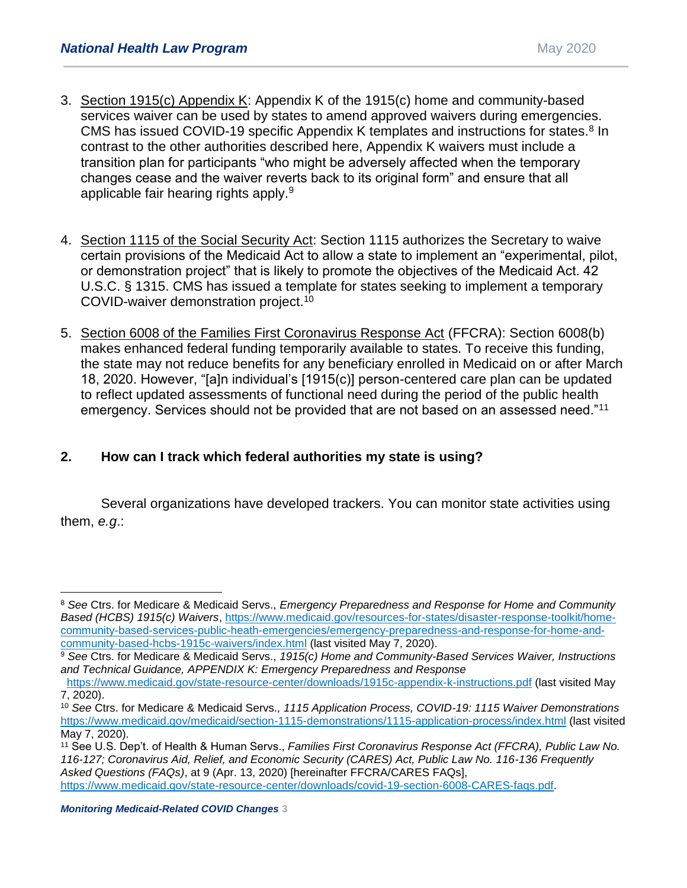- 3. Section 1915(c) Appendix K: Appendix K of the 1915(c) home and community-based services waiver can be used by states to amend approved waivers during emergencies. CMS has issued COVID-19 specific Appendix K templates and instructions for states.<sup>8</sup> In contrast to the other authorities described here, Appendix K waivers must include a transition plan for participants "who might be adversely affected when the temporary changes cease and the waiver reverts back to its original form" and ensure that all applicable fair hearing rights apply.<sup>9</sup>
- 4. Section 1115 of the Social Security Act: Section 1115 authorizes the Secretary to waive certain provisions of the Medicaid Act to allow a state to implement an "experimental, pilot, or demonstration project" that is likely to promote the objectives of the Medicaid Act. 42 U.S.C. § 1315. CMS has issued a template for states seeking to implement a temporary COVID-waiver demonstration project.<sup>10</sup>
- 5. Section 6008 of the Families First Coronavirus Response Act (FFCRA): Section 6008(b) makes enhanced federal funding temporarily available to states. To receive this funding, the state may not reduce benefits for any beneficiary enrolled in Medicaid on or after March 18, 2020. However, "[a]n individual's [1915(c)] person-centered care plan can be updated to reflect updated assessments of functional need during the period of the public health emergency. Services should not be provided that are not based on an assessed need."<sup>11</sup>

# **2. How can I track which federal authorities my state is using?**

Several organizations have developed trackers. You can monitor state activities using them, *e.g*.:

<sup>8</sup> *See* Ctrs. for Medicare & Medicaid Servs., *Emergency Preparedness and Response for Home and Community Based (HCBS) 1915(c) Waivers*[, https://www.medicaid.gov/resources-for-states/disaster-response-toolkit/home](https://www.medicaid.gov/resources-for-states/disaster-response-toolkit/home-community-based-services-public-heath-emergencies/emergency-preparedness-and-response-for-home-and-community-based-hcbs-1915c-waivers/index.html)[community-based-services-public-heath-emergencies/emergency-preparedness-and-response-for-home-and](https://www.medicaid.gov/resources-for-states/disaster-response-toolkit/home-community-based-services-public-heath-emergencies/emergency-preparedness-and-response-for-home-and-community-based-hcbs-1915c-waivers/index.html)[community-based-hcbs-1915c-waivers/index.html](https://www.medicaid.gov/resources-for-states/disaster-response-toolkit/home-community-based-services-public-heath-emergencies/emergency-preparedness-and-response-for-home-and-community-based-hcbs-1915c-waivers/index.html) (last visited May 7, 2020).

<sup>9</sup> *See* Ctrs. for Medicare & Medicaid Servs., *1915(c) Home and Community-Based Services Waiver, Instructions and Technical Guidance, APPENDIX K: Emergency Preparedness and Response*

<https://www.medicaid.gov/state-resource-center/downloads/1915c-appendix-k-instructions.pdf> (last visited May 7, 2020).

<sup>10</sup> *See* Ctrs. for Medicare & Medicaid Servs.*, 1115 Application Process, COVID-19: 1115 Waiver Demonstrations*  <https://www.medicaid.gov/medicaid/section-1115-demonstrations/1115-application-process/index.html> (last visited May 7, 2020).

<sup>11</sup> See U.S. Dep't. of Health & Human Servs., *Families First Coronavirus Response Act (FFCRA), Public Law No. 116-127; Coronavirus Aid, Relief, and Economic Security (CARES) Act, Public Law No. 116-136 Frequently Asked Questions (FAQs)*, at 9 (Apr. 13, 2020) [hereinafter FFCRA/CARES FAQs], [https://www.medicaid.gov/state-resource-center/downloads/covid-19-section-6008-CARES-faqs.pdf.](https://www.medicaid.gov/state-resource-center/downloads/covid-19-section-6008-CARES-faqs.pdf)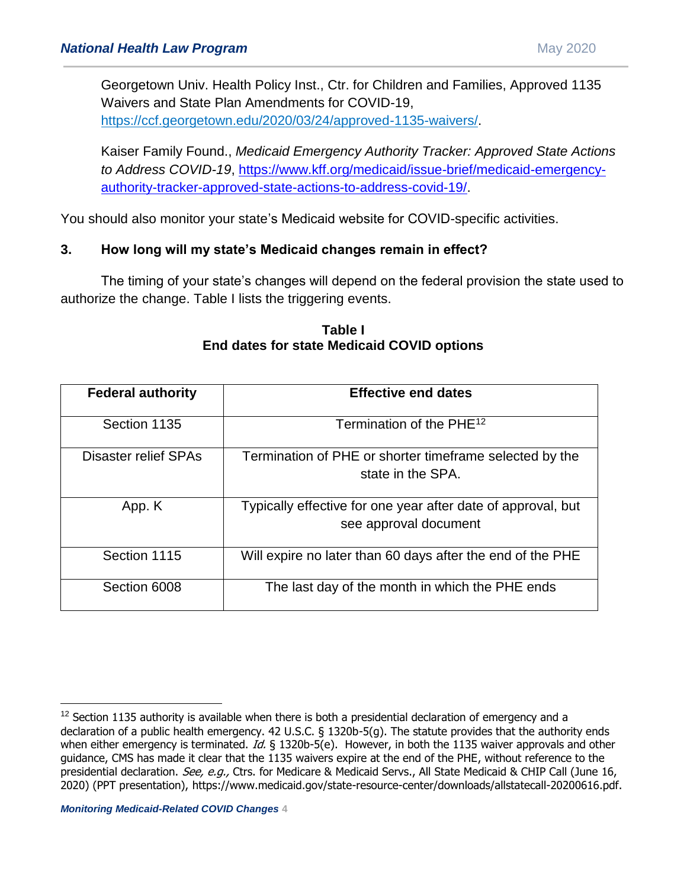Georgetown Univ. Health Policy Inst., Ctr. for Children and Families, Approved 1135 Waivers and State Plan Amendments for COVID-19, [https://ccf.georgetown.edu/2020/03/24/approved-1135-waivers/.](https://ccf.georgetown.edu/2020/03/24/approved-1135-waivers/)

Kaiser Family Found., *Medicaid Emergency Authority Tracker: Approved State Actions to Address COVID-19*, [https://www.kff.org/medicaid/issue-brief/medicaid-emergency](https://www.kff.org/medicaid/issue-brief/medicaid-emergency-authority-tracker-approved-state-actions-to-address-covid-19/)[authority-tracker-approved-state-actions-to-address-covid-19/.](https://www.kff.org/medicaid/issue-brief/medicaid-emergency-authority-tracker-approved-state-actions-to-address-covid-19/)

You should also monitor your state's Medicaid website for COVID-specific activities.

## **3. How long will my state's Medicaid changes remain in effect?**

The timing of your state's changes will depend on the federal provision the state used to authorize the change. Table I lists the triggering events.

| <b>Federal authority</b> | <b>Effective end dates</b>                                                            |
|--------------------------|---------------------------------------------------------------------------------------|
| Section 1135             | Termination of the PHE <sup>12</sup>                                                  |
| Disaster relief SPAs     | Termination of PHE or shorter timeframe selected by the<br>state in the SPA.          |
| App. K                   | Typically effective for one year after date of approval, but<br>see approval document |
| Section 1115             | Will expire no later than 60 days after the end of the PHE                            |
| Section 6008             | The last day of the month in which the PHE ends                                       |

**Table I End dates for state Medicaid COVID options**

<sup>&</sup>lt;sup>12</sup> Section 1135 authority is available when there is both a presidential declaration of emergency and a declaration of a public health emergency. 42 U.S.C. § 1320b-5(g). The statute provides that the authority ends when either emergency is terminated. Id.  $\S$  1320b-5(e). However, in both the 1135 waiver approvals and other guidance, CMS has made it clear that the 1135 waivers expire at the end of the PHE, without reference to the presidential declaration. See, e.g., Ctrs. for Medicare & Medicaid Servs., All State Medicaid & CHIP Call (June 16, 2020) (PPT presentation), https://www.medicaid.gov/state-resource-center/downloads/allstatecall-20200616.pdf.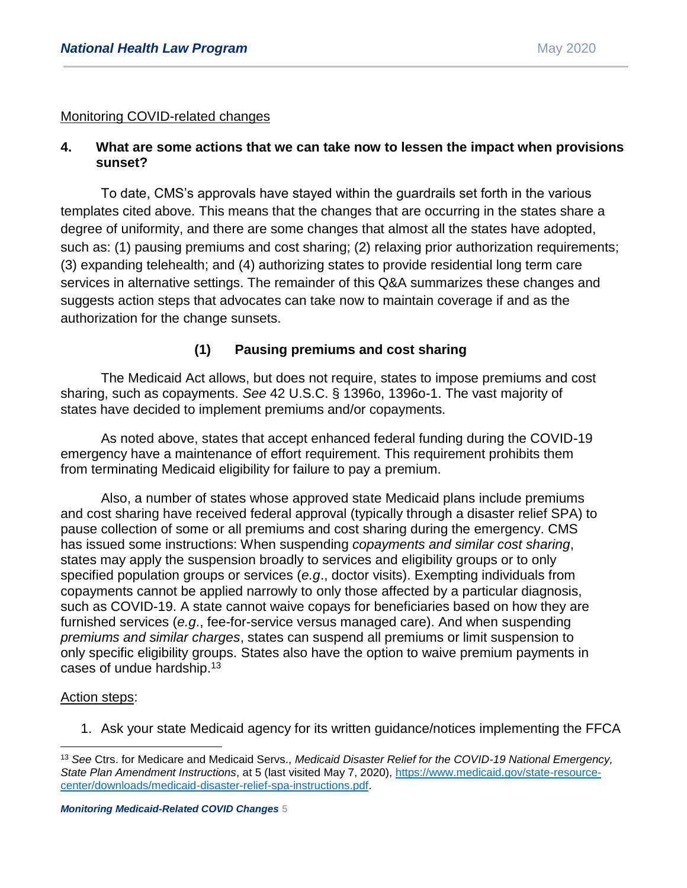#### Monitoring COVID-related changes

#### **4. What are some actions that we can take now to lessen the impact when provisions sunset?**

To date, CMS's approvals have stayed within the guardrails set forth in the various templates cited above. This means that the changes that are occurring in the states share a degree of uniformity, and there are some changes that almost all the states have adopted, such as: (1) pausing premiums and cost sharing; (2) relaxing prior authorization requirements; (3) expanding telehealth; and (4) authorizing states to provide residential long term care services in alternative settings. The remainder of this Q&A summarizes these changes and suggests action steps that advocates can take now to maintain coverage if and as the authorization for the change sunsets.

#### **(1) Pausing premiums and cost sharing**

The Medicaid Act allows, but does not require, states to impose premiums and cost sharing, such as copayments. *See* 42 U.S.C. § 1396o, 1396o-1. The vast majority of states have decided to implement premiums and/or copayments.

As noted above, states that accept enhanced federal funding during the COVID-19 emergency have a maintenance of effort requirement. This requirement prohibits them from terminating Medicaid eligibility for failure to pay a premium.

Also, a number of states whose approved state Medicaid plans include premiums and cost sharing have received federal approval (typically through a disaster relief SPA) to pause collection of some or all premiums and cost sharing during the emergency. CMS has issued some instructions: When suspending *copayments and similar cost sharing*, states may apply the suspension broadly to services and eligibility groups or to only specified population groups or services (*e.g*., doctor visits). Exempting individuals from copayments cannot be applied narrowly to only those affected by a particular diagnosis, such as COVID-19. A state cannot waive copays for beneficiaries based on how they are furnished services (*e.g*., fee-for-service versus managed care). And when suspending *premiums and similar charges*, states can suspend all premiums or limit suspension to only specific eligibility groups. States also have the option to waive premium payments in cases of undue hardship.<sup>13</sup>

#### Action steps:

 $\overline{a}$ 

1. Ask your state Medicaid agency for its written guidance/notices implementing the FFCA

<sup>13</sup> *See* Ctrs. for Medicare and Medicaid Servs., *Medicaid Disaster Relief for the COVID-19 National Emergency, State Plan Amendment Instructions*, at 5 (last visited May 7, 2020), [https://www.medicaid.gov/state-resource](https://www.medicaid.gov/state-resource-center/downloads/medicaid-disaster-relief-spa-instructions.pdf)[center/downloads/medicaid-disaster-relief-spa-instructions.pdf.](https://www.medicaid.gov/state-resource-center/downloads/medicaid-disaster-relief-spa-instructions.pdf)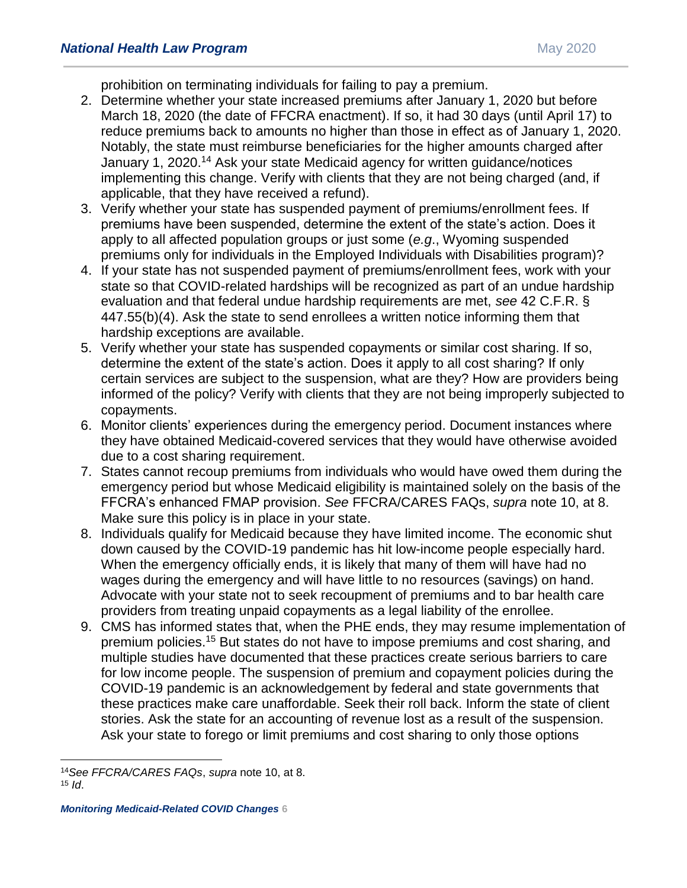prohibition on terminating individuals for failing to pay a premium.

- 2. Determine whether your state increased premiums after January 1, 2020 but before March 18, 2020 (the date of FFCRA enactment). If so, it had 30 days (until April 17) to reduce premiums back to amounts no higher than those in effect as of January 1, 2020. Notably, the state must reimburse beneficiaries for the higher amounts charged after January 1, 2020.<sup>14</sup> Ask your state Medicaid agency for written guidance/notices implementing this change. Verify with clients that they are not being charged (and, if applicable, that they have received a refund).
- 3. Verify whether your state has suspended payment of premiums/enrollment fees. If premiums have been suspended, determine the extent of the state's action. Does it apply to all affected population groups or just some (*e.g*., Wyoming suspended premiums only for individuals in the Employed Individuals with Disabilities program)?
- 4. If your state has not suspended payment of premiums/enrollment fees, work with your state so that COVID-related hardships will be recognized as part of an undue hardship evaluation and that federal undue hardship requirements are met, *see* 42 C.F.R. § 447.55(b)(4). Ask the state to send enrollees a written notice informing them that hardship exceptions are available.
- 5. Verify whether your state has suspended copayments or similar cost sharing. If so, determine the extent of the state's action. Does it apply to all cost sharing? If only certain services are subject to the suspension, what are they? How are providers being informed of the policy? Verify with clients that they are not being improperly subjected to copayments.
- 6. Monitor clients' experiences during the emergency period. Document instances where they have obtained Medicaid-covered services that they would have otherwise avoided due to a cost sharing requirement.
- 7. States cannot recoup premiums from individuals who would have owed them during the emergency period but whose Medicaid eligibility is maintained solely on the basis of the FFCRA's enhanced FMAP provision. *See* FFCRA/CARES FAQs, *supra* note 10, at 8. Make sure this policy is in place in your state.
- 8. Individuals qualify for Medicaid because they have limited income. The economic shut down caused by the COVID-19 pandemic has hit low-income people especially hard. When the emergency officially ends, it is likely that many of them will have had no wages during the emergency and will have little to no resources (savings) on hand. Advocate with your state not to seek recoupment of premiums and to bar health care providers from treating unpaid copayments as a legal liability of the enrollee.
- 9. CMS has informed states that, when the PHE ends, they may resume implementation of premium policies.<sup>15</sup> But states do not have to impose premiums and cost sharing, and multiple studies have documented that these practices create serious barriers to care for low income people. The suspension of premium and copayment policies during the COVID-19 pandemic is an acknowledgement by federal and state governments that these practices make care unaffordable. Seek their roll back. Inform the state of client stories. Ask the state for an accounting of revenue lost as a result of the suspension. Ask your state to forego or limit premiums and cost sharing to only those options

 $\overline{a}$ <sup>14</sup>*See FFCRA/CARES FAQs*, *supra* note 10, at 8.  $15$  *Id.*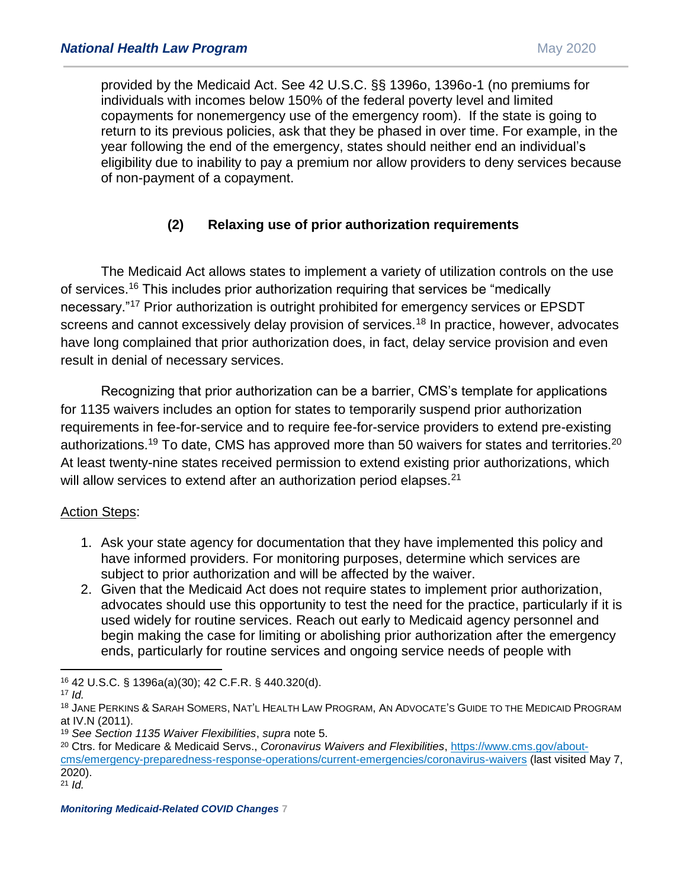provided by the Medicaid Act. See 42 U.S.C. §§ 1396o, 1396o-1 (no premiums for individuals with incomes below 150% of the federal poverty level and limited copayments for nonemergency use of the emergency room). If the state is going to return to its previous policies, ask that they be phased in over time. For example, in the year following the end of the emergency, states should neither end an individual's eligibility due to inability to pay a premium nor allow providers to deny services because of non-payment of a copayment.

# **(2) Relaxing use of prior authorization requirements**

The Medicaid Act allows states to implement a variety of utilization controls on the use of services.<sup>16</sup> This includes prior authorization requiring that services be "medically necessary."<sup>17</sup> Prior authorization is outright prohibited for emergency services or EPSDT screens and cannot excessively delay provision of services.<sup>18</sup> In practice, however, advocates have long complained that prior authorization does, in fact, delay service provision and even result in denial of necessary services.

Recognizing that prior authorization can be a barrier, CMS's template for applications for 1135 waivers includes an option for states to temporarily suspend prior authorization requirements in fee-for-service and to require fee-for-service providers to extend pre-existing authorizations.<sup>19</sup> To date, CMS has approved more than 50 waivers for states and territories.<sup>20</sup> At least twenty-nine states received permission to extend existing prior authorizations, which will allow services to extend after an authorization period elapses.<sup>21</sup>

## Action Steps:

- 1. Ask your state agency for documentation that they have implemented this policy and have informed providers. For monitoring purposes, determine which services are subject to prior authorization and will be affected by the waiver.
- 2. Given that the Medicaid Act does not require states to implement prior authorization, advocates should use this opportunity to test the need for the practice, particularly if it is used widely for routine services. Reach out early to Medicaid agency personnel and begin making the case for limiting or abolishing prior authorization after the emergency ends, particularly for routine services and ongoing service needs of people with

 $\overline{a}$ 

*Monitoring Medicaid-Related COVID Changes* **7**

<sup>16</sup> 42 U.S.C. § 1396a(a)(30); 42 C.F.R. § 440.320(d).

 $17$  *Id.* 

<sup>18</sup> JANE PERKINS & SARAH SOMERS, NAT'L HEALTH LAW PROGRAM, AN ADVOCATE'S GUIDE TO THE MEDICAID PROGRAM at IV.N (2011).

<sup>19</sup> *See Section 1135 Waiver Flexibilities*, *supra* note 5.

<sup>20</sup> Ctrs. for Medicare & Medicaid Servs., *Coronavirus Waivers and Flexibilities*, [https://www.cms.gov/about](https://www.cms.gov/about-cms/emergency-preparedness-response-operations/current-emergencies/coronavirus-waivers)[cms/emergency-preparedness-response-operations/current-emergencies/coronavirus-waivers](https://www.cms.gov/about-cms/emergency-preparedness-response-operations/current-emergencies/coronavirus-waivers) (last visited May 7, 2020).

 $21$  *Id.*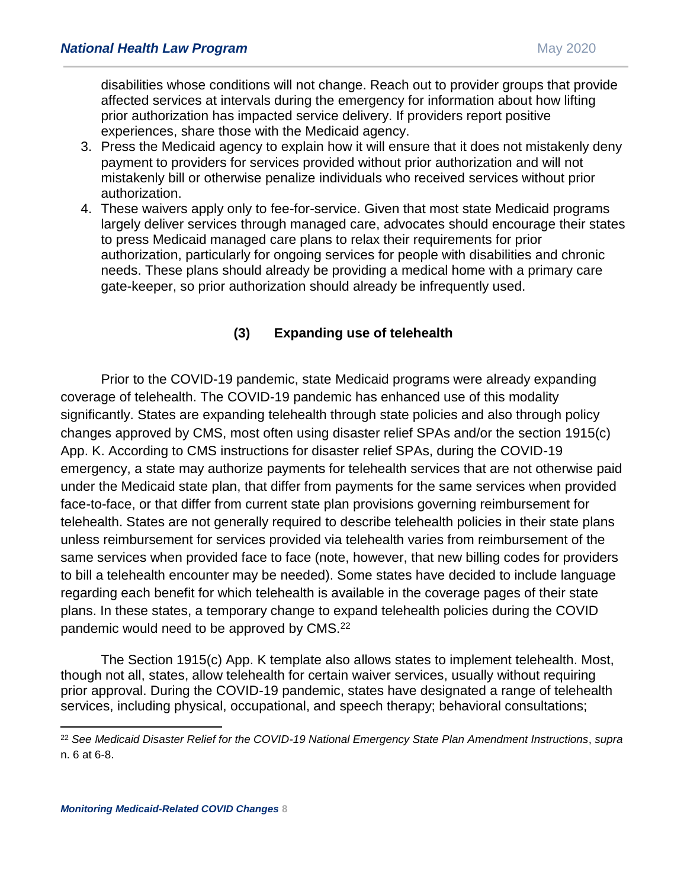disabilities whose conditions will not change. Reach out to provider groups that provide affected services at intervals during the emergency for information about how lifting prior authorization has impacted service delivery. If providers report positive experiences, share those with the Medicaid agency.

- 3. Press the Medicaid agency to explain how it will ensure that it does not mistakenly deny payment to providers for services provided without prior authorization and will not mistakenly bill or otherwise penalize individuals who received services without prior authorization.
- 4. These waivers apply only to fee-for-service. Given that most state Medicaid programs largely deliver services through managed care, advocates should encourage their states to press Medicaid managed care plans to relax their requirements for prior authorization, particularly for ongoing services for people with disabilities and chronic needs. These plans should already be providing a medical home with a primary care gate-keeper, so prior authorization should already be infrequently used.

# **(3) Expanding use of telehealth**

Prior to the COVID-19 pandemic, state Medicaid programs were already expanding coverage of telehealth. The COVID-19 pandemic has enhanced use of this modality significantly. States are expanding telehealth through state policies and also through policy changes approved by CMS, most often using disaster relief SPAs and/or the section 1915(c) App. K. According to CMS instructions for disaster relief SPAs, during the COVID-19 emergency, a state may authorize payments for telehealth services that are not otherwise paid under the Medicaid state plan, that differ from payments for the same services when provided face-to-face, or that differ from current state plan provisions governing reimbursement for telehealth. States are not generally required to describe telehealth policies in their state plans unless reimbursement for services provided via telehealth varies from reimbursement of the same services when provided face to face (note, however, that new billing codes for providers to bill a telehealth encounter may be needed). Some states have decided to include language regarding each benefit for which telehealth is available in the coverage pages of their state plans. In these states, a temporary change to expand telehealth policies during the COVID pandemic would need to be approved by CMS.<sup>22</sup>

The Section 1915(c) App. K template also allows states to implement telehealth. Most, though not all, states, allow telehealth for certain waiver services, usually without requiring prior approval. During the COVID-19 pandemic, states have designated a range of telehealth services, including physical, occupational, and speech therapy; behavioral consultations;

<sup>22</sup> *See Medicaid Disaster Relief for the COVID-19 National Emergency State Plan Amendment Instructions*, *supra*  n. 6 at 6-8.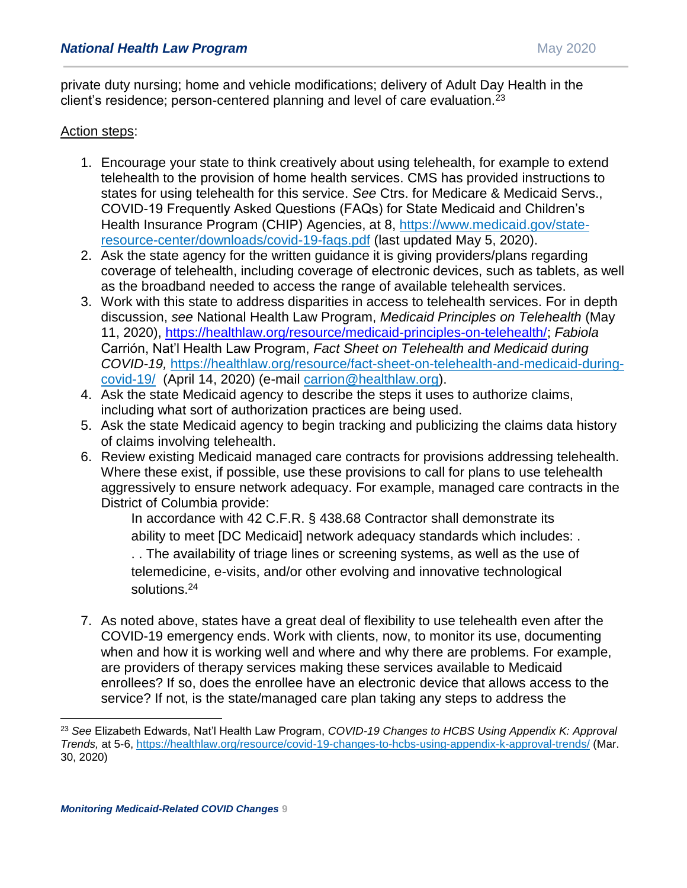private duty nursing; home and vehicle modifications; delivery of Adult Day Health in the client's residence; person-centered planning and level of care evaluation.<sup>23</sup>

#### Action steps:

- 1. Encourage your state to think creatively about using telehealth, for example to extend telehealth to the provision of home health services. CMS has provided instructions to states for using telehealth for this service. *See* Ctrs. for Medicare & Medicaid Servs., COVID-19 Frequently Asked Questions (FAQs) for State Medicaid and Children's Health Insurance Program (CHIP) Agencies, at 8, [https://www.medicaid.gov/state](https://www.medicaid.gov/state-resource-center/downloads/covid-19-faqs.pdf)[resource-center/downloads/covid-19-faqs.pdf](https://www.medicaid.gov/state-resource-center/downloads/covid-19-faqs.pdf) (last updated May 5, 2020).
- 2. Ask the state agency for the written guidance it is giving providers/plans regarding coverage of telehealth, including coverage of electronic devices, such as tablets, as well as the broadband needed to access the range of available telehealth services.
- 3. Work with this state to address disparities in access to telehealth services. For in depth discussion, *see* National Health Law Program, *Medicaid Principles on Telehealth* (May 11, 2020), [https://healthlaw.org/resource/medicaid-principles-on-telehealth/;](https://healthlaw.org/resource/medicaid-principles-on-telehealth/) *Fabiola* Carrión, Nat'l Health Law Program, *Fact Sheet on Telehealth and Medicaid during COVID-19,* [https://healthlaw.org/resource/fact-sheet-on-telehealth-and-medicaid-during](https://healthlaw.org/resource/fact-sheet-on-telehealth-and-medicaid-during-covid-19/)[covid-19/](https://healthlaw.org/resource/fact-sheet-on-telehealth-and-medicaid-during-covid-19/) (April 14, 2020) (e-mail [carrion@healthlaw.org\)](mailto:carrion@healthlaw.org).
- 4. Ask the state Medicaid agency to describe the steps it uses to authorize claims, including what sort of authorization practices are being used.
- 5. Ask the state Medicaid agency to begin tracking and publicizing the claims data history of claims involving telehealth.
- 6. Review existing Medicaid managed care contracts for provisions addressing telehealth. Where these exist, if possible, use these provisions to call for plans to use telehealth aggressively to ensure network adequacy. For example, managed care contracts in the District of Columbia provide:

In accordance with 42 C.F.R. § 438.68 Contractor shall demonstrate its ability to meet [DC Medicaid] network adequacy standards which includes: .

. . The availability of triage lines or screening systems, as well as the use of telemedicine, e-visits, and/or other evolving and innovative technological solutions.<sup>24</sup>

7. As noted above, states have a great deal of flexibility to use telehealth even after the COVID-19 emergency ends. Work with clients, now, to monitor its use, documenting when and how it is working well and where and why there are problems. For example, are providers of therapy services making these services available to Medicaid enrollees? If so, does the enrollee have an electronic device that allows access to the service? If not, is the state/managed care plan taking any steps to address the

<sup>23</sup> *See* Elizabeth Edwards, Nat'l Health Law Program, *COVID-19 Changes to HCBS Using Appendix K: Approval Trends,* at 5-6,<https://healthlaw.org/resource/covid-19-changes-to-hcbs-using-appendix-k-approval-trends/> (Mar. 30, 2020)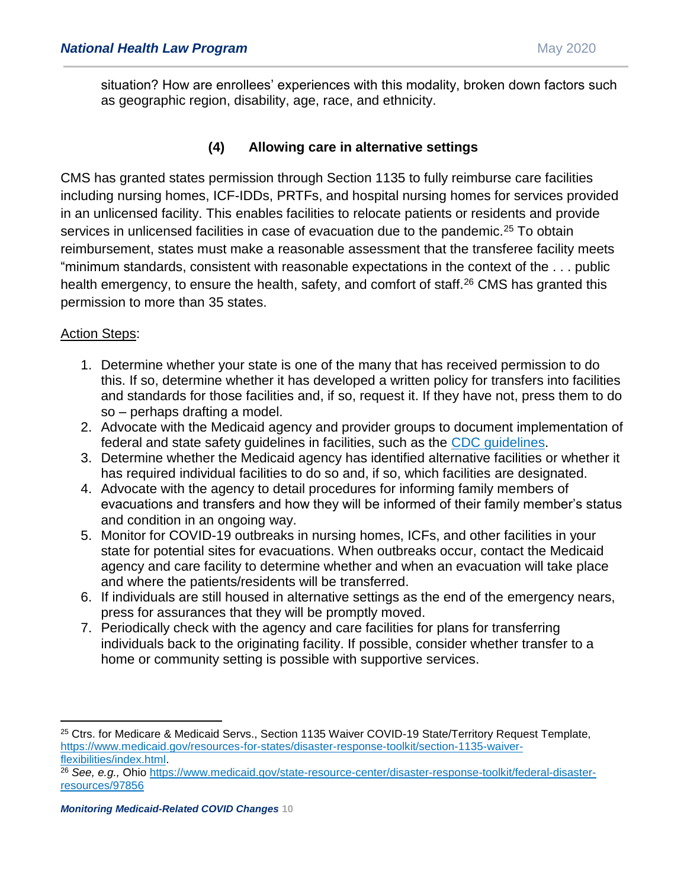situation? How are enrollees' experiences with this modality, broken down factors such as geographic region, disability, age, race, and ethnicity.

# **(4) Allowing care in alternative settings**

CMS has granted states permission through Section 1135 to fully reimburse care facilities including nursing homes, ICF-IDDs, PRTFs, and hospital nursing homes for services provided in an unlicensed facility. This enables facilities to relocate patients or residents and provide services in unlicensed facilities in case of evacuation due to the pandemic.<sup>25</sup> To obtain reimbursement, states must make a reasonable assessment that the transferee facility meets "minimum standards, consistent with reasonable expectations in the context of the . . . public health emergency, to ensure the health, safety, and comfort of staff.<sup>26</sup> CMS has granted this permission to more than 35 states.

## Action Steps:

- 1. Determine whether your state is one of the many that has received permission to do this. If so, determine whether it has developed a written policy for transfers into facilities and standards for those facilities and, if so, request it. If they have not, press them to do so – perhaps drafting a model.
- 2. Advocate with the Medicaid agency and provider groups to document implementation of federal and state safety guidelines in facilities, such as the [CDC guidelines.](https://www.cdc.gov/coronavirus/2019-ncov/hcp/long-term-care.html)
- 3. Determine whether the Medicaid agency has identified alternative facilities or whether it has required individual facilities to do so and, if so, which facilities are designated.
- 4. Advocate with the agency to detail procedures for informing family members of evacuations and transfers and how they will be informed of their family member's status and condition in an ongoing way.
- 5. Monitor for COVID-19 outbreaks in nursing homes, ICFs, and other facilities in your state for potential sites for evacuations. When outbreaks occur, contact the Medicaid agency and care facility to determine whether and when an evacuation will take place and where the patients/residents will be transferred.
- 6. If individuals are still housed in alternative settings as the end of the emergency nears, press for assurances that they will be promptly moved.
- 7. Periodically check with the agency and care facilities for plans for transferring individuals back to the originating facility. If possible, consider whether transfer to a home or community setting is possible with supportive services.

<sup>25</sup> Ctrs. for Medicare & Medicaid Servs., Section 1135 Waiver COVID-19 State/Territory Request Template, [https://www.medicaid.gov/resources-for-states/disaster-response-toolkit/section-1135-waiver](https://www.medicaid.gov/resources-for-states/disaster-response-toolkit/section-1135-waiver-flexibilities/index.html)[flexibilities/index.html.](https://www.medicaid.gov/resources-for-states/disaster-response-toolkit/section-1135-waiver-flexibilities/index.html)

<sup>&</sup>lt;sup>26</sup> See, e.g., Ohio [https://www.medicaid.gov/state-resource-center/disaster-response-toolkit/federal-disaster](https://www.medicaid.gov/state-resource-center/disaster-response-toolkit/federal-disaster-resources/97856)[resources/97856](https://www.medicaid.gov/state-resource-center/disaster-response-toolkit/federal-disaster-resources/97856)